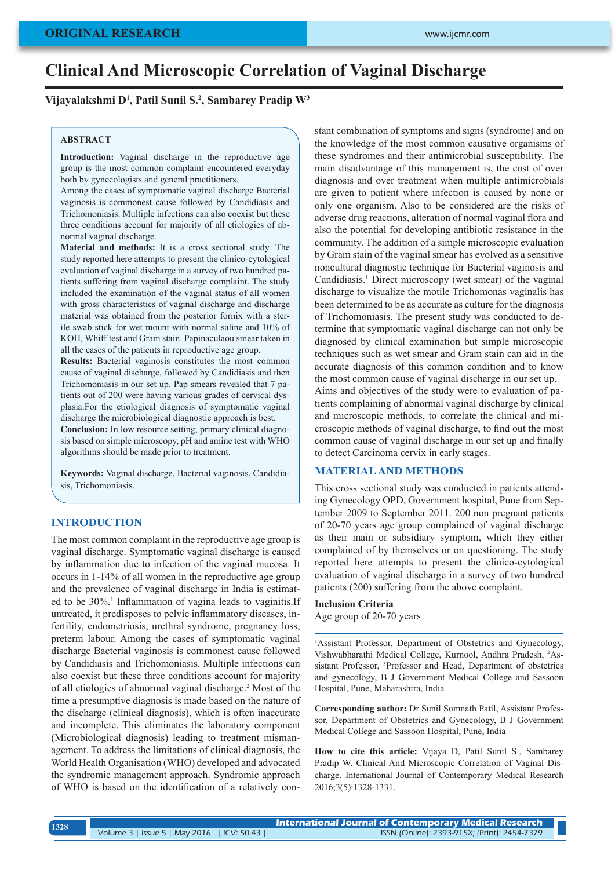# **Clinical And Microscopic Correlation of Vaginal Discharge**

**Vijayalakshmi D1 , Patil Sunil S.2 , Sambarey Pradip W3**

### **ABSTRACT**

**Introduction:** Vaginal discharge in the reproductive age group is the most common complaint encountered everyday both by gynecologists and general practitioners.

Among the cases of symptomatic vaginal discharge Bacterial vaginosis is commonest cause followed by Candidiasis and Trichomoniasis. Multiple infections can also coexist but these three conditions account for majority of all etiologies of abnormal vaginal discharge.

**Material and methods:** It is a cross sectional study. The study reported here attempts to present the clinico-cytological evaluation of vaginal discharge in a survey of two hundred patients suffering from vaginal discharge complaint. The study included the examination of the vaginal status of all women with gross characteristics of vaginal discharge and discharge material was obtained from the posterior fornix with a sterile swab stick for wet mount with normal saline and 10% of KOH, Whiff test and Gram stain. Papinaculaou smear taken in all the cases of the patients in reproductive age group.

**Results:** Bacterial vaginosis constitutes the most common cause of vaginal discharge, followed by Candidiasis and then Trichomoniasis in our set up. Pap smears revealed that 7 patients out of 200 were having various grades of cervical dysplasia.For the etiological diagnosis of symptomatic vaginal discharge the microbiological diagnostic approach is best.

**Conclusion:** In low resource setting, primary clinical diagnosis based on simple microscopy, pH and amine test with WHO algorithms should be made prior to treatment.

**Keywords:** Vaginal discharge, Bacterial vaginosis, Candidiasis, Trichomoniasis.

# **INTRODUCTION**

The most common complaint in the reproductive age group is vaginal discharge. Symptomatic vaginal discharge is caused by inflammation due to infection of the vaginal mucosa. It occurs in 1-14% of all women in the reproductive age group and the prevalence of vaginal discharge in India is estimated to be 30%.<sup>1</sup> Inflammation of vagina leads to vaginitis.If untreated, it predisposes to pelvic inflammatory diseases, infertility, endometriosis, urethral syndrome, pregnancy loss, preterm labour. Among the cases of symptomatic vaginal discharge Bacterial vaginosis is commonest cause followed by Candidiasis and Trichomoniasis. Multiple infections can also coexist but these three conditions account for majority of all etiologies of abnormal vaginal discharge.<sup>2</sup> Most of the time a presumptive diagnosis is made based on the nature of the discharge (clinical diagnosis), which is often inaccurate and incomplete. This eliminates the laboratory component (Microbiological diagnosis) leading to treatment mismanagement. To address the limitations of clinical diagnosis, the World Health Organisation (WHO) developed and advocated the syndromic management approach. Syndromic approach of WHO is based on the identification of a relatively constant combination of symptoms and signs (syndrome) and on the knowledge of the most common causative organisms of these syndromes and their antimicrobial susceptibility. The main disadvantage of this management is, the cost of over diagnosis and over treatment when multiple antimicrobials are given to patient where infection is caused by none or only one organism. Also to be considered are the risks of adverse drug reactions, alteration of normal vaginal flora and also the potential for developing antibiotic resistance in the community. The addition of a simple microscopic evaluation by Gram stain of the vaginal smear has evolved as a sensitive noncultural diagnostic technique for Bacterial vaginosis and Candidiasis.<sup>1</sup> Direct microscopy (wet smear) of the vaginal discharge to visualize the motile Trichomonas vaginalis has been determined to be as accurate as culture for the diagnosis of Trichomoniasis. The present study was conducted to determine that symptomatic vaginal discharge can not only be diagnosed by clinical examination but simple microscopic techniques such as wet smear and Gram stain can aid in the accurate diagnosis of this common condition and to know the most common cause of vaginal discharge in our set up. Aims and objectives of the study were to evaluation of patients complaining of abnormal vaginal discharge by clinical and microscopic methods, to correlate the clinical and microscopic methods of vaginal discharge, to find out the most common cause of vaginal discharge in our set up and finally to detect Carcinoma cervix in early stages.

### **MATERIAL AND METHODS**

This cross sectional study was conducted in patients attending Gynecology OPD, Government hospital, Pune from September 2009 to September 2011. 200 non pregnant patients of 20-70 years age group complained of vaginal discharge as their main or subsidiary symptom, which they either complained of by themselves or on questioning. The study reported here attempts to present the clinico-cytological evaluation of vaginal discharge in a survey of two hundred patients (200) suffering from the above complaint.

#### **Inclusion Criteria** Age group of 20-70 years

1 Assistant Professor, Department of Obstetrics and Gynecology, Vishwabharathi Medical College, Kurnool, Andhra Pradesh, 2 Assistant Professor, 3 Professor and Head, Department of obstetrics and gynecology, B J Government Medical College and Sassoon Hospital, Pune, Maharashtra, India

**Corresponding author:** Dr Sunil Somnath Patil, Assistant Professor, Department of Obstetrics and Gynecology, B J Government Medical College and Sassoon Hospital, Pune, India

**How to cite this article:** Vijaya D, Patil Sunil S., Sambarey Pradip W. Clinical And Microscopic Correlation of Vaginal Discharge. International Journal of Contemporary Medical Research 2016;3(5):1328-1331.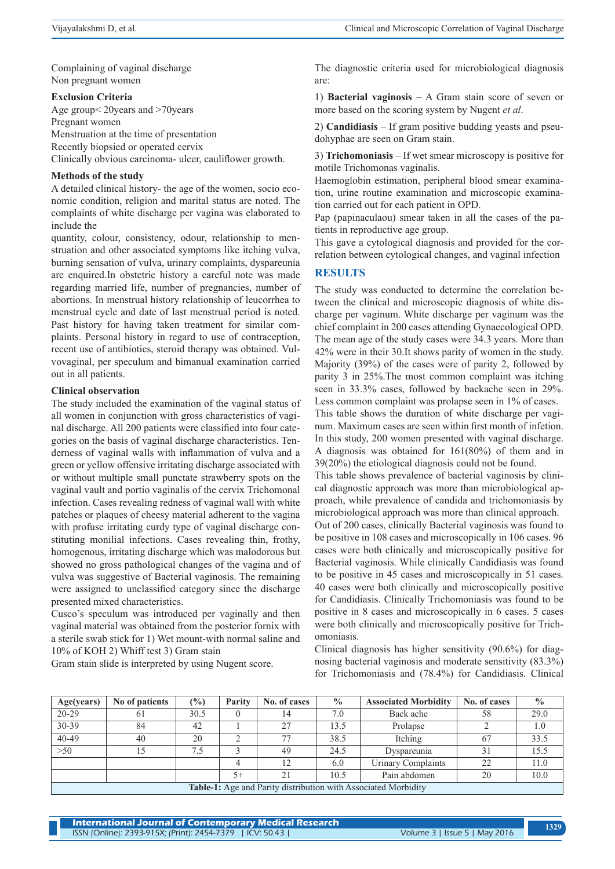Complaining of vaginal discharge Non pregnant women

#### **Exclusion Criteria**

Age group< 20years and >70years Pregnant women Menstruation at the time of presentation Recently biopsied or operated cervix Clinically obvious carcinoma- ulcer, cauliflower growth.

#### **Methods of the study**

A detailed clinical history- the age of the women, socio economic condition, religion and marital status are noted. The complaints of white discharge per vagina was elaborated to include the

quantity, colour, consistency, odour, relationship to menstruation and other associated symptoms like itching vulva, burning sensation of vulva, urinary complaints, dyspareunia are enquired.In obstetric history a careful note was made regarding married life, number of pregnancies, number of abortions. In menstrual history relationship of leucorrhea to menstrual cycle and date of last menstrual period is noted. Past history for having taken treatment for similar complaints. Personal history in regard to use of contraception, recent use of antibiotics, steroid therapy was obtained. Vulvovaginal, per speculum and bimanual examination carried out in all patients.

#### **Clinical observation**

The study included the examination of the vaginal status of all women in conjunction with gross characteristics of vaginal discharge. All 200 patients were classified into four categories on the basis of vaginal discharge characteristics. Tenderness of vaginal walls with inflammation of vulva and a green or yellow offensive irritating discharge associated with or without multiple small punctate strawberry spots on the vaginal vault and portio vaginalis of the cervix Trichomonal infection. Cases revealing redness of vaginal wall with white patches or plaques of cheesy material adherent to the vagina with profuse irritating curdy type of vaginal discharge constituting monilial infections. Cases revealing thin, frothy, homogenous, irritating discharge which was malodorous but showed no gross pathological changes of the vagina and of vulva was suggestive of Bacterial vaginosis. The remaining were assigned to unclassified category since the discharge presented mixed characteristics.

Cusco's speculum was introduced per vaginally and then vaginal material was obtained from the posterior fornix with a sterile swab stick for 1) Wet mount-with normal saline and 10% of KOH 2) Whiff test 3) Gram stain

Gram stain slide is interpreted by using Nugent score.

The diagnostic criteria used for microbiological diagnosis are:

1) **Bacterial vaginosis** – A Gram stain score of seven or more based on the scoring system by Nugent *et al*.

2) **Candidiasis** – If gram positive budding yeasts and pseudohyphae are seen on Gram stain.

3) **Trichomoniasis** – If wet smear microscopy is positive for motile Trichomonas vaginalis.

Haemoglobin estimation, peripheral blood smear examination, urine routine examination and microscopic examination carried out for each patient in OPD.

Pap (papinaculaou) smear taken in all the cases of the patients in reproductive age group.

This gave a cytological diagnosis and provided for the correlation between cytological changes, and vaginal infection

### **RESULTS**

The study was conducted to determine the correlation between the clinical and microscopic diagnosis of white discharge per vaginum. White discharge per vaginum was the chief complaint in 200 cases attending Gynaecological OPD. The mean age of the study cases were 34.3 years. More than 42% were in their 30.It shows parity of women in the study. Majority (39%) of the cases were of parity 2, followed by parity 3 in 25%.The most common complaint was itching seen in 33.3% cases, followed by backache seen in 29%. Less common complaint was prolapse seen in 1% of cases.

This table shows the duration of white discharge per vaginum. Maximum cases are seen within first month of infetion. In this study, 200 women presented with vaginal discharge. A diagnosis was obtained for 161(80%) of them and in 39(20%) the etiological diagnosis could not be found.

This table shows prevalence of bacterial vaginosis by clinical diagnostic approach was more than microbiological approach, while prevalence of candida and trichomoniasis by microbiological approach was more than clinical approach. Out of 200 cases, clinically Bacterial vaginosis was found to

be positive in 108 cases and microscopically in 106 cases. 96 cases were both clinically and microscopically positive for Bacterial vaginosis. While clinically Candidiasis was found to be positive in 45 cases and microscopically in 51 cases. 40 cases were both clinically and microscopically positive for Candidiasis. Clinically Trichomoniasis was found to be positive in 8 cases and microscopically in 6 cases. 5 cases were both clinically and microscopically positive for Trichomoniasis.

Clinical diagnosis has higher sensitivity (90.6%) for diagnosing bacterial vaginosis and moderate sensitivity (83.3%) for Trichomoniasis and (78.4%) for Candidiasis. Clinical

| Age(years)                                                            | No of patients | $\frac{1}{2}$                    | Parity | No. of cases | $\frac{0}{0}$ | <b>Associated Morbidity</b> | No. of cases | $\frac{0}{0}$ |
|-----------------------------------------------------------------------|----------------|----------------------------------|--------|--------------|---------------|-----------------------------|--------------|---------------|
| $20 - 29$                                                             | 61             | 30.5                             |        | 14           | 7.0           | Back ache                   | 58           | 29.0          |
| 30-39                                                                 | 84             | 42                               |        | 27           | 13.5          | Prolapse                    |              | 1.0           |
| $40 - 49$                                                             | 40             | 20                               | ◠      | 77           | 38.5          | Itching                     | 67           | 33.5          |
| >50                                                                   |                | 7.5<br>24.5<br>49<br>Dyspareunia |        |              |               |                             | 31           | 15.5          |
| 11.0<br>6.0<br><b>Urinary Complaints</b><br>22<br>12                  |                |                                  |        |              |               |                             |              |               |
|                                                                       |                |                                  | $5+$   | 21           | 10.5          | Pain abdomen                | 20           | 10.0          |
| <b>Table-1:</b> Age and Parity distribution with Associated Morbidity |                |                                  |        |              |               |                             |              |               |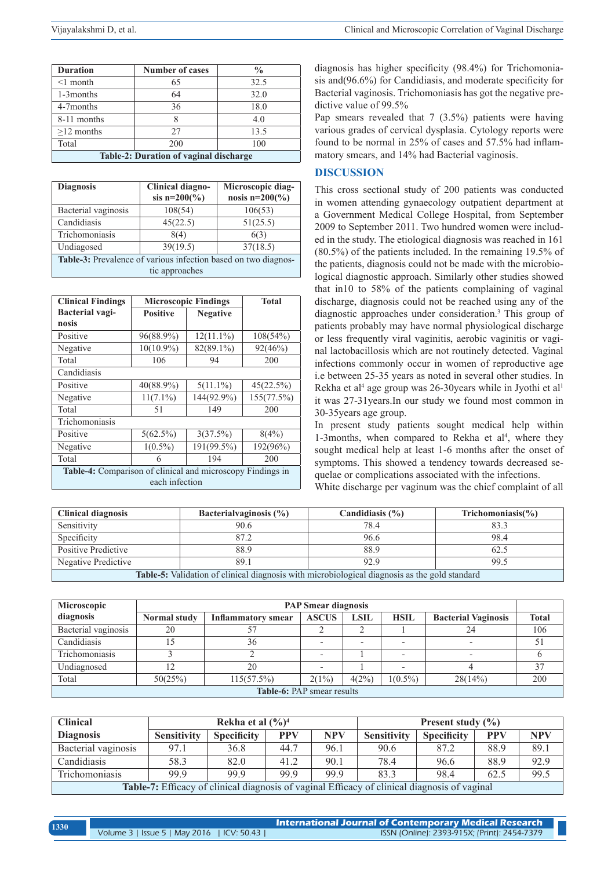|  | Clinical and Microscopic Correlation of Vaginal Discharge |  |
|--|-----------------------------------------------------------|--|
|  |                                                           |  |

| <b>Duration</b>                        | <b>Number of cases</b> | $\frac{0}{0}$ |  |  |  |  |
|----------------------------------------|------------------------|---------------|--|--|--|--|
| $\leq 1$ month                         | 65                     | 32.5          |  |  |  |  |
| 1-3 months                             | 64                     | 32.0          |  |  |  |  |
| 4-7months                              | 36                     | 18.0          |  |  |  |  |
| 8-11 months                            |                        | 4.0           |  |  |  |  |
| $>12$ months                           | 27                     | 13.5          |  |  |  |  |
| Total                                  | 200                    | 100           |  |  |  |  |
| Table-2: Duration of vaginal discharge |                        |               |  |  |  |  |

| <b>Diagnosis</b>                                               | Clinical diagno-<br>sis $n=200\frac{6}{6}$ | Microscopic diag-<br>nosis $n=200\frac{6}{6}$ |  |  |  |  |
|----------------------------------------------------------------|--------------------------------------------|-----------------------------------------------|--|--|--|--|
| Bacterial vaginosis                                            | 108(54)                                    | 106(53)                                       |  |  |  |  |
| Candidiasis                                                    | 45(22.5)                                   | 51(25.5)                                      |  |  |  |  |
| Trichomoniasis                                                 | 8(4)                                       | 6(3)                                          |  |  |  |  |
| Undiagosed                                                     | 39(19.5)                                   | 37(18.5)                                      |  |  |  |  |
| Table-3: Prevalence of various infection based on two diagnos- |                                            |                                               |  |  |  |  |
| tic approaches                                                 |                                            |                                               |  |  |  |  |

| <b>Clinical Findings</b>                                                     |                 | <b>Microscopic Findings</b> | <b>Total</b> |  |  |  |  |  |
|------------------------------------------------------------------------------|-----------------|-----------------------------|--------------|--|--|--|--|--|
| <b>Bacterial vagi-</b>                                                       | <b>Positive</b> | <b>Negative</b>             |              |  |  |  |  |  |
| nosis                                                                        |                 |                             |              |  |  |  |  |  |
| Positive                                                                     | 96(88.9%)       | $12(11.1\%)$                | 108(54%)     |  |  |  |  |  |
| Negative                                                                     | $10(10.9\%)$    | 82(89.1%)                   | 92(46%)      |  |  |  |  |  |
| Total                                                                        | 106             | 94                          | 200          |  |  |  |  |  |
| Candidiasis                                                                  |                 |                             |              |  |  |  |  |  |
| Positive                                                                     | 40(88.9%)       | $5(11.1\%)$                 | 45(22.5%)    |  |  |  |  |  |
| Negative                                                                     | $11(7.1\%)$     | 144(92.9%)                  | 155(77.5%)   |  |  |  |  |  |
| Total                                                                        | 51              | 149                         | 200          |  |  |  |  |  |
| Trichomoniasis                                                               |                 |                             |              |  |  |  |  |  |
| Positive                                                                     | $5(62.5\%)$     | 3(37.5%)                    | 8(4%)        |  |  |  |  |  |
| Negative                                                                     | $1(0.5\%)$      | 191(99.5%)                  | 192(96%)     |  |  |  |  |  |
| Total                                                                        | 6               | 194                         | 200          |  |  |  |  |  |
| Table-4: Comparison of clinical and microscopy Findings in<br>each infection |                 |                             |              |  |  |  |  |  |

diagnosis has higher specificity (98.4%) for Trichomoniasis and(96.6%) for Candidiasis, and moderate specificity for Bacterial vaginosis. Trichomoniasis has got the negative predictive value of 99.5%

Pap smears revealed that 7 (3.5%) patients were having various grades of cervical dysplasia. Cytology reports were found to be normal in 25% of cases and 57.5% had inflammatory smears, and 14% had Bacterial vaginosis.

### **DISCUSSION**

This cross sectional study of 200 patients was conducted in women attending gynaecology outpatient department at a Government Medical College Hospital, from September 2009 to September 2011. Two hundred women were included in the study. The etiological diagnosis was reached in 161 (80.5%) of the patients included. In the remaining 19.5% of the patients, diagnosis could not be made with the microbiological diagnostic approach. Similarly other studies showed that in10 to 58% of the patients complaining of vaginal discharge, diagnosis could not be reached using any of the diagnostic approaches under consideration.3 This group of patients probably may have normal physiological discharge or less frequently viral vaginitis, aerobic vaginitis or vaginal lactobacillosis which are not routinely detected. Vaginal infections commonly occur in women of reproductive age i.e between 25-35 years as noted in several other studies. In Rekha et al<sup>4</sup> age group was 26-30years while in Jyothi et al<sup>1</sup> it was 27-31years.In our study we found most common in 30-35years age group.

In present study patients sought medical help within 1-3months, when compared to Rekha et al<sup>4</sup>, where they sought medical help at least 1-6 months after the onset of symptoms. This showed a tendency towards decreased sequelae or complications associated with the infections.

White discharge per vaginum was the chief complaint of all

| <b>Clinical diagnosis</b>                                                                            | Bacterial vaginosis $(\% )$ | Candidiasis $(\% )$ | Trichomoniasis $(\% )$ |  |  |  |
|------------------------------------------------------------------------------------------------------|-----------------------------|---------------------|------------------------|--|--|--|
| Sensitivity                                                                                          | 90.6                        | 78.4                |                        |  |  |  |
| Specificity                                                                                          | 87.2                        | 96.6                | 98.4                   |  |  |  |
| Positive Predictive                                                                                  | 88.9                        | 88.9                | 62.5                   |  |  |  |
| Negative Predictive                                                                                  | 89.1                        | 92.9                | 99.5                   |  |  |  |
| <b>Table-5:</b> Validation of clinical diagnosis with microbiological diagnosis as the gold standard |                             |                     |                        |  |  |  |

**Table-5:** Validation of clinical diagnosis with microbiological diagnosis as the gold standard

| Microscopic                       | <b>PAP Smear diagnosis</b> |                           |                          |       |             |                            |              |
|-----------------------------------|----------------------------|---------------------------|--------------------------|-------|-------------|----------------------------|--------------|
| diagnosis                         | Normal study               | <b>Inflammatory smear</b> | <b>ASCUS</b>             | LSIL  | <b>HSIL</b> | <b>Bacterial Vaginosis</b> | <b>Total</b> |
| Bacterial vaginosis               | 20                         |                           |                          |       |             | 24                         | 106          |
| Candidiasis                       |                            | 36                        | $\overline{\phantom{0}}$ |       |             |                            |              |
| Trichomoniasis                    |                            |                           |                          |       |             |                            |              |
| Undiagnosed                       |                            | 20                        |                          |       |             |                            | 37           |
| Total                             | 50(25%)                    | $115(57.5\%)$             | $2(1\%)$                 | 4(2%) | $1(0.5\%)$  | 28(14%)                    | 200          |
| <b>Table-6: PAP smear results</b> |                            |                           |                          |       |             |                            |              |

| <b>Clinical</b>                                                                              |                    | Rekha et al $(\frac{9}{6})^4$ |            |            | Present study $(\% )$ |                    |            |            |
|----------------------------------------------------------------------------------------------|--------------------|-------------------------------|------------|------------|-----------------------|--------------------|------------|------------|
| <b>Diagnosis</b>                                                                             | <b>Sensitivity</b> | <b>Specificity</b>            | <b>PPV</b> | <b>NPV</b> | <b>Sensitivity</b>    | <b>Specificity</b> | <b>PPV</b> | <b>NPV</b> |
| Bacterial vaginosis                                                                          | 97.1               | 36.8                          | 44.7       | 96.1       | 90.6                  | 87.2               | 88.9       | 89.1       |
| Candidiasis                                                                                  | 58.3               | 82.0                          | 41.2       | 90.1       | 78.4                  | 96.6               | 88.9       | 92.9       |
| Trichomoniasis                                                                               | 99.9               | 99.9                          | 99.9       | 99.9       | 83.3                  | 98.4               | 62.5       | 99.5       |
| Table-7: Efficacy of clinical diagnosis of vaginal Efficacy of clinical diagnosis of vaginal |                    |                               |            |            |                       |                    |            |            |

| 1330 |                                            | $\,$ International Journal of Contemporary Medical Research $^{-1}$ |  |
|------|--------------------------------------------|---------------------------------------------------------------------|--|
|      | Volume 3   Issue 5   May 2016   ICV: 50.43 | ISSN (Online): 2393-915X; (Print): 2454-7379                        |  |